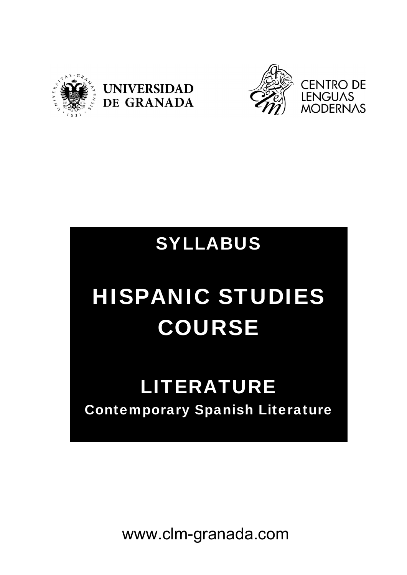





## SYLLABUS

# HISPANIC STUDIES COURSE

## LITERATURE Contemporary Spanish Literature

www.clm-granada.com